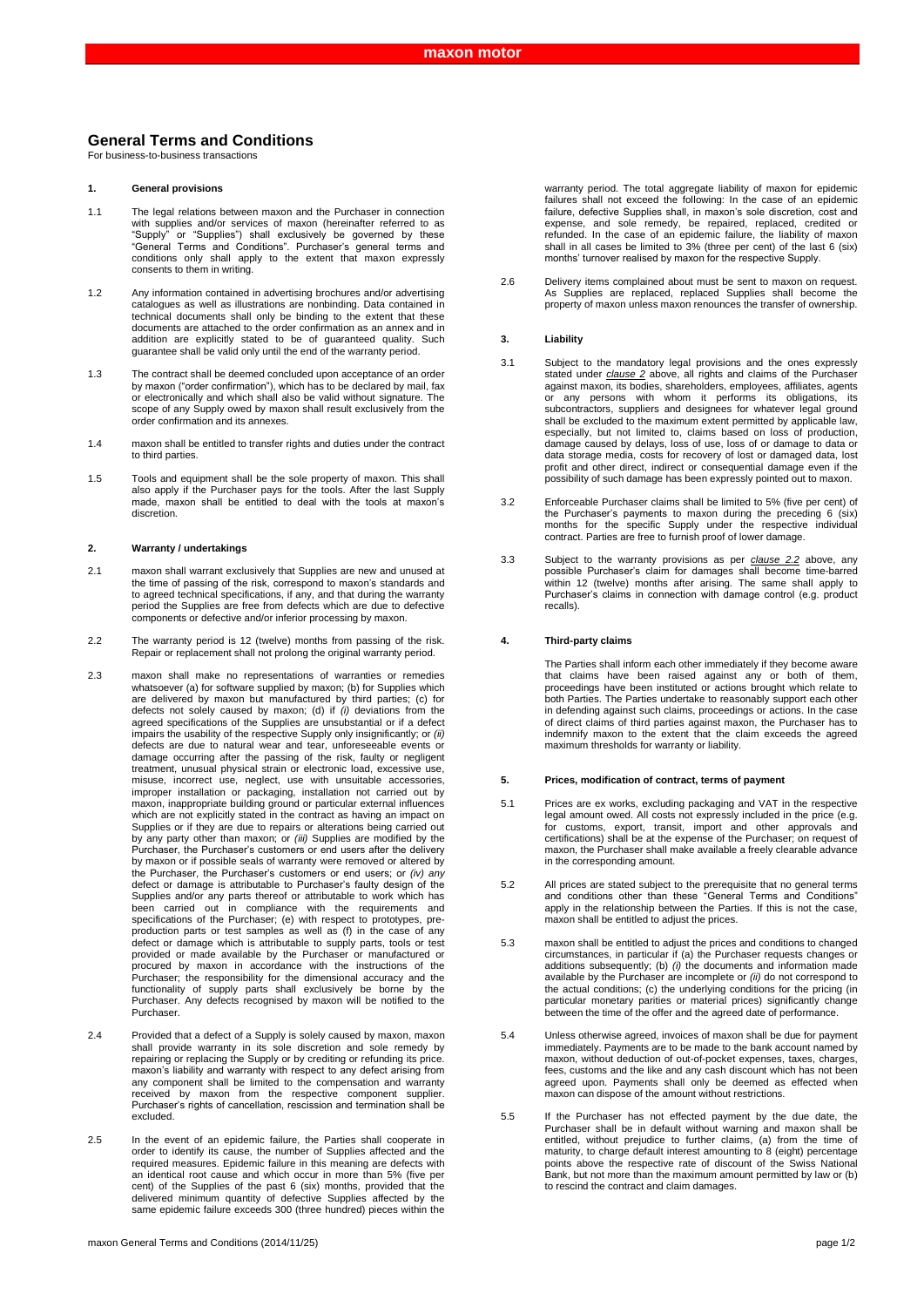# **General Terms and Conditions**

For business-to-business transactions

# **1. General provisions**

- 1.1 The legal relations between maxon and the Purchaser in connection with supplies and/or services of maxon (hereinafter referred to as<br>"Supply" or "Supplies") shall exclusively be governed by these "Supply" or "Supplies") shall exclusively be governed by these "General Terms and Conditions". Purchaser's general terms and conditions only shall apply to the extent that maxon expressly consents to them in writing.
- 1.2 Any information contained in advertising brochures and/or advertising catalogues as well as illustrations are nonbinding. Data contained in technical documents shall only be binding to the extent that these documents are attached to the order confirmation as an annex and in addition are explicitly stated to be of guaranteed quality. Such guarantee shall be valid only until the end of the warranty period.
- 1.3 The contract shall be deemed concluded upon acceptance of an order by maxon ("order confirmation"), which has to be declared by mail, fax or electronically and which shall also be valid without signature. The scope of any Supply owed by maxon shall result exclusively from the order confirmation and its annexes.
- 1.4 maxon shall be entitled to transfer rights and duties under the contract to third parties.
- 1.5 Tools and equipment shall be the sole property of maxon. This shall also apply if the Purchaser pays for the tools. After the last Supply made, maxon shall be entitled to deal with the tools at maxon's discretion.

### **2. Warranty / undertakings**

- 2.1 maxon shall warrant exclusively that Supplies are new and unused at the time of passing of the risk, correspond to maxon's standards and to agreed technical specifications, if any, and that during the warranty period the Supplies are free from defects which are due to defective components or defective and/or inferior processing by maxon.
- 2.2 The warranty period is 12 (twelve) months from passing of the risk. Repair or replacement shall not prolong the original warranty period.
- 2.3 maxon shall make no representations of warranties or remedies whatsoever (a) for software supplied by maxon; (b) for Supplies which are delivered by maxon but manufactured by third parties; (c) for defects not solely caused by maxon; (d) if *(i)* deviations from the agreed specifications of the Supplies are unsubstantial or if a defect impairs the usability of the respective Supply only insignificantly; or *(ii)* defects are due to natural wear and tear, unforeseeable events or damage occurring after the passing of the risk, faulty or negligent treatment, unusual physical strain or electronic load, excessive use, misuse, incorrect use, neglect, use with unsuitable accessories, improper installation or packaging, installation not carried out by maxon, inappropriate building ground or particular external influences which are not explicitly stated in the contract as having an impact on Supplies or if they are due to repairs or alterations being carried out by any party other than maxon; or *(iii)* Supplies are modified by the Purchaser, the Purchaser's customers or end users after the delivery by maxon or if possible seals of warranty were removed or altered by the Purchaser, the Purchaser's customers or end users; or *(iv) any*  defect or damage is attributable to Purchaser's faulty design of the Supplies and/or any parts thereof or attributable to work which has been carried out in compliance with the requirements and specifications of the Purchaser; (e) with respect to prototypes, preproduction parts or test samples as well as (f) in the case of any<br>defect or damage which is attributable to supply parts, tools or test<br>provided or made available by the Purchaser or manufactured or<br>procured by maxon in a Purchaser. Any defects recognised by maxon will be notified to the Purchaser.
- 2.4 Provided that a defect of a Supply is solely caused by maxon, maxon shall provide warranty in its sole discretion and sole remedy by repairing or replacing the Supply or by crediting or refunding its price. maxon's liability and warranty with respect to any defect arising from any component shall be limited to the compensation and warranty received by maxon from the respective component supplier. Purchaser's rights of cancellation, rescission and termination shall be excluded.
- 2.5 In the event of an epidemic failure, the Parties shall cooperate in order to identify its cause, the number of Supplies affected and the required measures. Epidemic failure in this meaning are defects with an identical root cause and which occur in more than 5% (five per cent) of the Supplies of the past 6 (six) months, provided that the delivered minimum quantity of defective Supplies affected by the same epidemic failure exceeds 300 (three hundred) pieces within the

warranty period. The total aggregate liability of maxon for epidemic failures shall not exceed the following: In the case of an epidemic failure, defective Supplies shall, in maxon's sole discretion, cost and expense, and sole remedy, be repaired, replaced, credited or refunded. In the case of an epidemic failure, the liability of maxon shall in all cases be limited to 3% (three per cent) of the last 6 (six) months' turnover realised by maxon for the respective Supply.

2.6 Delivery items complained about must be sent to maxon on request. As Supplies are replaced, replaced Supplies shall become the property of maxon unless maxon renounces the transfer of ownership.

# **3. Liability**

- 3.1 Subject to the mandatory legal provisions and the ones expressly stated under *clause 2* above, all rights and claims of the Purchaser against maxon, its bodies, shareholders, employees, affiliates, agents or any persons with whom it performs its obligations, its subcontractors, suppliers and designees for whatever legal ground shall be excluded to the maximum extent permitted by applicable law, especially, but not limited to, claims based on loss of production, damage caused by delays, loss of use, loss of or damage to data or data storage media, costs for recovery of lost or damaged data, lost profit and other direct, indirect or consequential damage even if the possibility of such damage has been expressly pointed out to maxon.
- 3.2 Enforceable Purchaser claims shall be limited to 5% (five per cent) of the Purchaser's payments to maxon during the preceding 6 (six) months for the specific Supply under the respective individual contract. Parties are free to furnish proof of lower damage.
- 3.3 Subject to the warranty provisions as per *clause 2.2* above, any possible Purchaser's claim for damages shall become time-barred within 12 (twelve) months after arising. The same shall apply to Purchaser's claims in connection with damage control (e.g. product recalls).

# **4. Third-party claims**

The Parties shall inform each other immediately if they become aware that claims have been raised against any or both of them, proceedings have been instituted or actions brought which relate to both Parties. The Parties undertake to reasonably support each other in defending against such claims, proceedings or actions. In the case of direct claims of third parties against maxon, the Purchaser has to indemnify maxon to the extent that the claim exceeds the agreed maximum thresholds for warranty or liability.

#### **5. Prices, modification of contract, terms of payment**

- 5.1 Prices are ex works, excluding packaging and VAT in the respective legal amount owed. All costs not expressly included in the price (e.g. for customs, export, transit, import and other approvals and certifications) shall be at the expense of the Purchaser; on request of maxon, the Purchaser shall make available a freely clearable advance in the corresponding amount.
- 5.2 All prices are stated subject to the prerequisite that no general terms and conditions other than these "General Terms and Conditions" apply in the relationship between the Parties. If this is not the case, maxon shall be entitled to adjust the prices.
- 5.3 maxon shall be entitled to adjust the prices and conditions to changed circumstances, in particular if (a) the Purchaser requests changes or additions subsequently; (b) (i) the documents and information made available by the Purchaser are incomplete or (ii) do not correspond to the actual conditions; (c) the underlying conditions for the pricing (in particular monetary parities or material prices) significantly change between the time of the offer and the agreed date of performance.
- 5.4 Unless otherwise agreed, invoices of maxon shall be due for payment immediately. Payments are to be made to the bank account named by maxon, without deduction of out-of-pocket expenses, taxes, charges, fees, customs and the like and any cash discount which has not been agreed upon. Payments shall only be deemed as effected when maxon can dispose of the amount without restrictions.
- 5.5 If the Purchaser has not effected payment by the due date, the Purchaser shall be in default without warning and maxon shall be entitled, without prejudice to further claims, (a) from the time of maturity, to charge default interest amounting to 8 (eight) percentage points above the respective rate of discount of the Swiss National Bank, but not more than the maximum amount permitted by law or (b) to rescind the contract and claim damages.